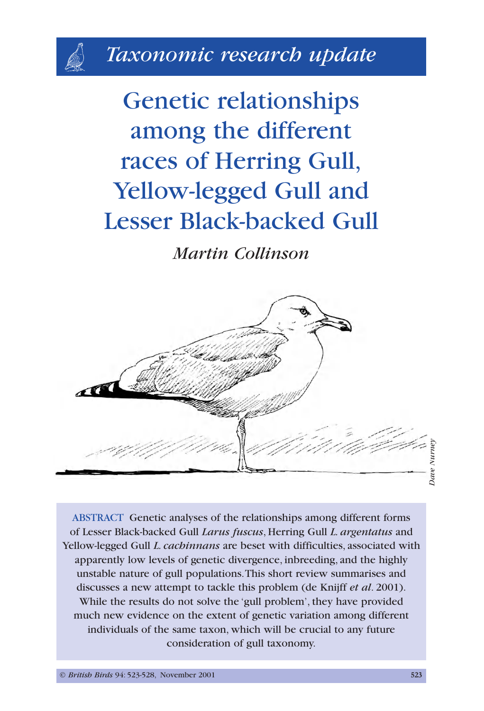# *Taxonomic research update*

Genetic relationships among the different races of Herring Gull, Yellow-legged Gull and Lesser Black-backed Gull

*Martin Collinson*



ABSTRACT Genetic analyses of the relationships among different forms of Lesser Black-backed Gull *Larus fuscus*, Herring Gull *L. argentatus* and Yellow-legged Gull *L. cachinnans* are beset with difficulties, associated with apparently low levels of genetic divergence, inbreeding, and the highly unstable nature of gull populations.This short review summarises and discusses a new attempt to tackle this problem (de Knijff *et al*. 2001). While the results do not solve the 'gull problem', they have provided much new evidence on the extent of genetic variation among different individuals of the same taxon, which will be crucial to any future consideration of gull taxonomy.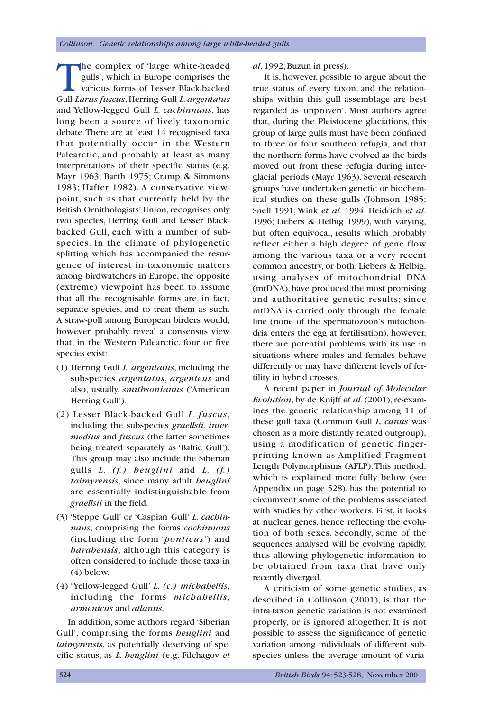The complex of 'large white-headed gulls', which in Europe comprises the various forms of Lesser Black-backed Gull *Larus fuscus*, Herring Gull *L. argentatus* and Yellow-legged Gull *L. cachinnans*, has long been a source of lively taxonomic debate.There are at least 14 recognised taxa that potentially occur in the Western Palearctic, and probably at least as many interpretations of their specific status (e.g. Mayr 1963; Barth 1975; Cramp & Simmons 1983; Haffer 1982). A conservative viewpoint, such as that currently held by the British Ornithologists' Union, recognises only two species, Herring Gull and Lesser Blackbacked Gull, each with a number of subspecies. In the climate of phylogenetic splitting which has accompanied the resurgence of interest in taxonomic matters among birdwatchers in Europe, the opposite (extreme) viewpoint has been to assume that all the recognisable forms are, in fact, separate species, and to treat them as such. A straw-poll among European birders would, however, probably reveal a consensus view that, in the Western Palearctic, four or five species exist:

- (1) Herring Gull *L. argentatus*, including the subspecies *argentatus*, *argenteus* and also, usually, *smithsonianus* ('American Herring Gull').
- (2) Lesser Black-backed Gull *L. fuscus*, including the subspecies *graellsii*, *intermedius* and *fuscus* (the latter sometimes being treated separately as 'Baltic Gull'). This group may also include the Siberian gulls *L. (f.) heuglini* and *L. (f.) taimyrensis*, since many adult *heuglini* are essentially indistinguishable from *graellsii* in the field.
- (3) 'Steppe Gull' or 'Caspian Gull' *L. cachinnans*, comprising the forms *cachinnans* (including the form '*ponticus*') and *barabensis*, although this category is often considered to include those taxa in (4) below.
- (4) 'Yellow-legged Gull' *L. (c.) michahellis*, including the forms *michahellis*, *armenicus* and *atlantis*.

In addition, some authors regard 'Siberian Gull', comprising the forms *heuglini* and *taimyrensis*, as potentially deserving of specific status, as *L. heuglini* (e.g. Filchagov *et* *al*. 1992; Buzun in press).

It is, however, possible to argue about the true status of every taxon, and the relationships within this gull assemblage are best regarded as 'unproven'. Most authors agree that, during the Pleistocene glaciations, this group of large gulls must have been confined to three or four southern refugia, and that the northern forms have evolved as the birds moved out from these refugia during interglacial periods (Mayr 1963). Several research groups have undertaken genetic or biochemical studies on these gulls (Johnson 1985; Snell 1991; Wink *et al*. 1994; Heidrich *et al*. 1996; Liebers & Helbig 1999), with varying, but often equivocal, results which probably reflect either a high degree of gene flow among the various taxa or a very recent common ancestry, or both. Liebers & Helbig, using analyses of mitochondrial DNA (mtDNA), have produced the most promising and authoritative genetic results; since mtDNA is carried only through the female line (none of the spermatozoon's mitochondria enters the egg at fertilisation), however, there are potential problems with its use in situations where males and females behave differently or may have different levels of fertility in hybrid crosses.

A recent paper in *Journal of Molecular Evolution*, by de Knijff *et al*. (2001), re-examines the genetic relationship among 11 of these gull taxa (Common Gull *L. canus* was chosen as a more distantly related outgroup), using a modification of genetic fingerprinting known as Amplified Fragment Length Polymorphisms (AFLP).This method, which is explained more fully below (see Appendix on page 528), has the potential to circumvent some of the problems associated with studies by other workers. First, it looks at nuclear genes, hence reflecting the evolution of both sexes. Secondly, some of the sequences analysed will be evolving rapidly, thus allowing phylogenetic information to be obtained from taxa that have only recently diverged.

A criticism of some genetic studies, as described in Collinson (2001), is that the intra-taxon genetic variation is not examined properly, or is ignored altogether. It is not possible to assess the significance of genetic variation among individuals of different subspecies unless the average amount of varia-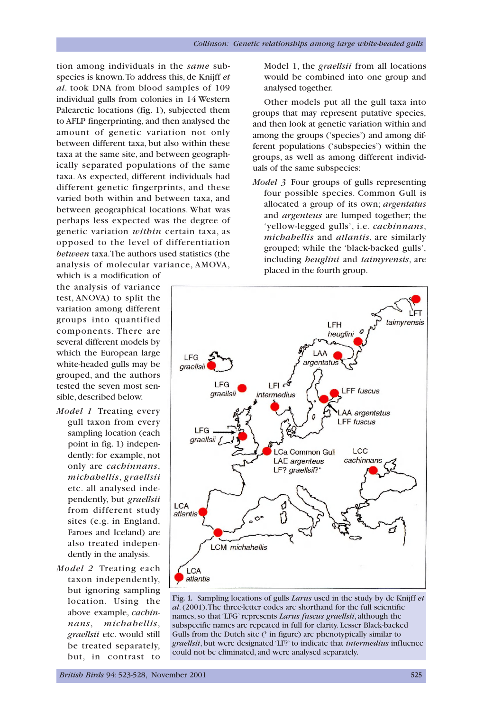tion among individuals in the *same* subspecies is known.To address this, de Knijff *et al*. took DNA from blood samples of 109 individual gulls from colonies in 14 Western Palearctic locations (fig. 1), subjected them to AFLP fingerprinting, and then analysed the amount of genetic variation not only between different taxa, but also within these taxa at the same site, and between geographically separated populations of the same taxa. As expected, different individuals had different genetic fingerprints, and these varied both within and between taxa, and between geographical locations. What was perhaps less expected was the degree of genetic variation *within* certain taxa, as opposed to the level of differentiation *between* taxa.The authors used statistics (the analysis of molecular variance, AMOVA,

which is a modification of the analysis of variance test, ANOVA) to split the variation among different groups into quantified components. There are several different models by which the European large white-headed gulls may be grouped, and the authors tested the seven most sensible, described below.

- *Model 1* Treating every gull taxon from every sampling location (each point in fig. 1) independently: for example, not only are *cachinnans*, *michahellis*, *graellsii* etc. all analysed independently, but *graellsii* from different study sites (e.g. in England, Faroes and Iceland) are also treated independently in the analysis.
- *Model 2* Treating each taxon independently, but ignoring sampling location. Using the above example, *cachinnans*, *michahellis*, *graellsii* etc. would still be treated separately, but, in contrast to

Model 1, the *graellsii* from all locations would be combined into one group and analysed together.

Other models put all the gull taxa into groups that may represent putative species, and then look at genetic variation within and among the groups ('species') and among different populations ('subspecies') within the groups, as well as among different individuals of the same subspecies:

*Model 3* Four groups of gulls representing four possible species. Common Gull is allocated a group of its own; *argentatus* and *argenteus* are lumped together; the 'yellow-legged gulls', i.e. *cachinnans*, *michahellis* and *atlantis*, are similarly grouped; while the 'black-backed gulls', including *heuglini* and *taimyrensis*, are placed in the fourth group.



**Fig. 1.** Sampling locations of gulls *Larus* used in the study by de Knijff *et al*. (2001).The three-letter codes are shorthand for the full scientific names, so that 'LFG' represents *Larus fuscus graellsii*, although the subspecific names are repeated in full for clarity. Lesser Black-backed Gulls from the Dutch site (\* in figure) are phenotypically similar to *graellsii*, but were designated 'LF?' to indicate that *intermedius* influence could not be eliminated, and were analysed separately.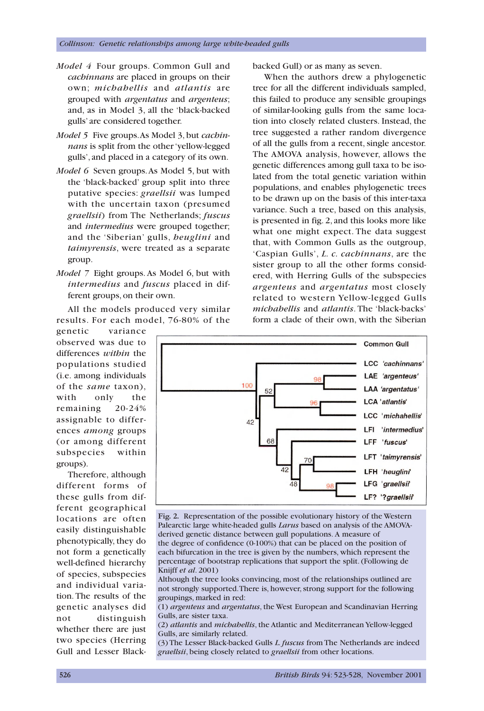- *Model 4* Four groups. Common Gull and *cachinnans* are placed in groups on their own; *michahellis* and *atlantis* are grouped with *argentatus* and *argenteus*; and, as in Model 3, all the 'black-backed gulls' are considered together.
- *Model 5* Five groups.As Model 3, but *cachinnans* is split from the other 'yellow-legged gulls', and placed in a category of its own.
- *Model 6* Seven groups.As Model 5, but with the 'black-backed' group split into three putative species: *graellsii* was lumped with the uncertain taxon (presumed *graellsii*) from The Netherlands; *fuscus* and *intermedius* were grouped together; and the 'Siberian' gulls, *heuglini* and *taimyrensis*, were treated as a separate group.
- *Model 7* Eight groups. As Model 6, but with *intermedius* and *fuscus* placed in different groups, on their own.

All the models produced very similar results. For each model, 76-80% of the

genetic variance observed was due to differences *within* the populations studied (i.e. among individuals of the *same* taxon), with only the remaining 20-24% assignable to differences *among* groups (or among different subspecies within groups).

Therefore, although different forms of these gulls from different geographical locations are often easily distinguishable phenotypically, they do not form a genetically well-defined hierarchy of species, subspecies and individual variation. The results of the genetic analyses did not distinguish whether there are just two species (Herring Gull and Lesser Blackbacked Gull) or as many as seven.

When the authors drew a phylogenetic tree for all the different individuals sampled, this failed to produce any sensible groupings of similar-looking gulls from the same location into closely related clusters. Instead, the tree suggested a rather random divergence of all the gulls from a recent, single ancestor. The AMOVA analysis, however, allows the genetic differences among gull taxa to be isolated from the total genetic variation within populations, and enables phylogenetic trees to be drawn up on the basis of this inter-taxa variance. Such a tree, based on this analysis, is presented in fig. 2, and this looks more like what one might expect. The data suggest that, with Common Gulls as the outgroup, 'Caspian Gulls', *L. c. cachinnans*, are the sister group to all the other forms considered, with Herring Gulls of the subspecies *argenteus* and *argentatus* most closely related to western Yellow-legged Gulls *michahellis* and *atlantis*. The 'black-backs' form a clade of their own, with the Siberian



**Fig. 2.** Representation of the possible evolutionary history of the Western Palearctic large white-headed gulls *Larus* based on analysis of the AMOVAderived genetic distance between gull populations. A measure of the degree of confidence (0-100%) that can be placed on the position of

each bifurcation in the tree is given by the numbers, which represent the percentage of bootstrap replications that support the split. (Following de Knijff *et al*. 2001)

Although the tree looks convincing, most of the relationships outlined are not strongly supported.There is, however, strong support for the following groupings, marked in red:

(1) *argenteus* and *argentatus*, the West European and Scandinavian Herring Gulls, are sister taxa.

(2) *atlantis* and *michahellis*, the Atlantic and Mediterranean Yellow-legged Gulls, are similarly related.

(3) The Lesser Black-backed Gulls *L. fuscus* from The Netherlands are indeed *graellsii*, being closely related to *graellsii* from other locations.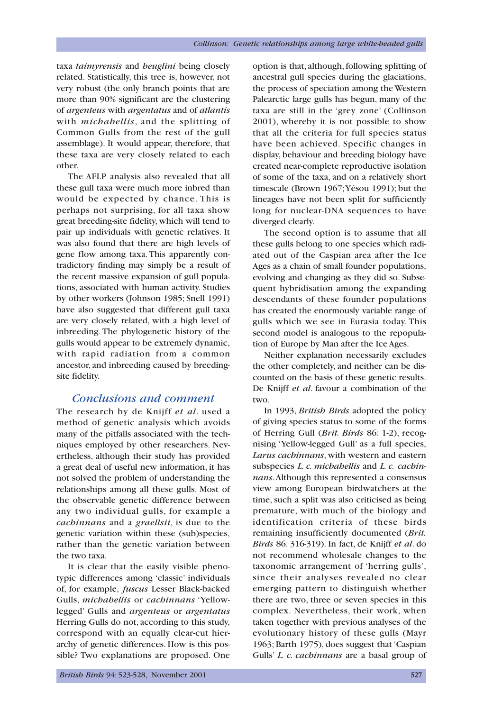taxa *taimyrensis* and *heuglini* being closely related. Statistically, this tree is, however, not very robust (the only branch points that are more than 90% significant are the clustering of *argenteus* with *argentatus* and of *atlantis* with *michahellis*, and the splitting of Common Gulls from the rest of the gull assemblage). It would appear, therefore, that these taxa are very closely related to each other.

The AFLP analysis also revealed that all these gull taxa were much more inbred than would be expected by chance. This is perhaps not surprising, for all taxa show great breeding-site fidelity, which will tend to pair up individuals with genetic relatives. It was also found that there are high levels of gene flow among taxa. This apparently contradictory finding may simply be a result of the recent massive expansion of gull populations, associated with human activity. Studies by other workers (Johnson 1985; Snell 1991) have also suggested that different gull taxa are very closely related, with a high level of inbreeding. The phylogenetic history of the gulls would appear to be extremely dynamic, with rapid radiation from a common ancestor, and inbreeding caused by breedingsite fidelity.

## *Conclusions and comment*

The research by de Knijff *et al*. used a method of genetic analysis which avoids many of the pitfalls associated with the techniques employed by other researchers. Nevertheless, although their study has provided a great deal of useful new information, it has not solved the problem of understanding the relationships among all these gulls. Most of the observable genetic difference between any two individual gulls, for example a *cachinnans* and a *graellsii*, is due to the genetic variation within these (sub)species, rather than the genetic variation between the two taxa.

It is clear that the easily visible phenotypic differences among 'classic' individuals of, for example, *fuscus* Lesser Black-backed Gulls, *michahellis* or *cachinnans* 'Yellowlegged' Gulls and *argenteus* or *argentatus* Herring Gulls do not, according to this study, correspond with an equally clear-cut hierarchy of genetic differences. How is this possible? Two explanations are proposed. One option is that, although, following splitting of ancestral gull species during the glaciations, the process of speciation among the Western Palearctic large gulls has begun, many of the taxa are still in the 'grey zone' (Collinson 2001), whereby it is not possible to show that all the criteria for full species status have been achieved. Specific changes in display, behaviour and breeding biology have created near-complete reproductive isolation of some of the taxa, and on a relatively short timescale (Brown 1967;Yésou 1991); but the lineages have not been split for sufficiently long for nuclear-DNA sequences to have diverged clearly.

The second option is to assume that all these gulls belong to one species which radiated out of the Caspian area after the Ice Ages as a chain of small founder populations, evolving and changing as they did so. Subsequent hybridisation among the expanding descendants of these founder populations has created the enormously variable range of gulls which we see in Eurasia today. This second model is analogous to the repopulation of Europe by Man after the Ice Ages.

Neither explanation necessarily excludes the other completely, and neither can be discounted on the basis of these genetic results. De Knijff *et al*. favour a combination of the two.

In 1993, *British Birds* adopted the policy of giving species status to some of the forms of Herring Gull (*Brit. Birds* 86: 1-2), recognising 'Yellow-legged Gull' as a full species, *Larus cachinnans*, with western and eastern subspecies *L. c. michahellis* and *L. c. cachinnans*.Although this represented a consensus view among European birdwatchers at the time, such a split was also criticised as being premature, with much of the biology and identification criteria of these birds remaining insufficiently documented (*Brit. Birds* 86: 316-319). In fact, de Knijff *et al*. do not recommend wholesale changes to the taxonomic arrangement of 'herring gulls', since their analyses revealed no clear emerging pattern to distinguish whether there are two, three or seven species in this complex. Nevertheless, their work, when taken together with previous analyses of the evolutionary history of these gulls (Mayr 1963; Barth 1975), does suggest that 'Caspian Gulls' *L. c. cachinnans* are a basal group of